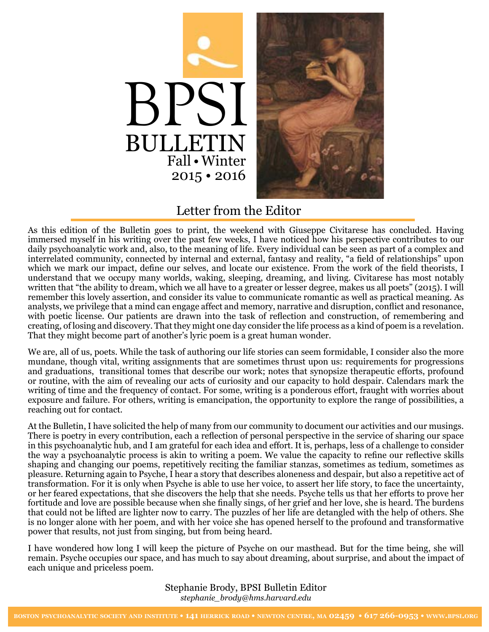



### Letter from the Editor

As this edition of the Bulletin goes to print, the weekend with Giuseppe Civitarese has concluded. Having immersed myself in his writing over the past few weeks, I have noticed how his perspective contributes to our daily psychoanalytic work and, also, to the meaning of life. Every individual can be seen as part of a complex and interrelated community, connected by internal and external, fantasy and reality, "a field of relationships" upon which we mark our impact, define our selves, and locate our existence. From the work of the field theorists, I understand that we occupy many worlds, waking, sleeping, dreaming, and living. Civitarese has most notably written that "the ability to dream, which we all have to a greater or lesser degree, makes us all poets" (2015). I will remember this lovely assertion, and consider its value to communicate romantic as well as practical meaning. As analysts, we privilege that a mind can engage affect and memory, narrative and disruption, conflict and resonance, with poetic license. Our patients are drawn into the task of reflection and construction, of remembering and creating, of losing and discovery. That they might one day consider the life process as a kind of poem is a revelation. That they might become part of another's lyric poem is a great human wonder.

We are, all of us, poets. While the task of authoring our life stories can seem formidable, I consider also the more mundane, though vital, writing assignments that are sometimes thrust upon us: requirements for progressions and graduations, transitional tomes that describe our work; notes that synopsize therapeutic efforts, profound or routine, with the aim of revealing our acts of curiosity and our capacity to hold despair. Calendars mark the writing of time and the frequency of contact. For some, writing is a ponderous effort, fraught with worries about exposure and failure. For others, writing is emancipation, the opportunity to explore the range of possibilities, a reaching out for contact.

At the Bulletin, I have solicited the help of many from our community to document our activities and our musings. There is poetry in every contribution, each a reflection of personal perspective in the service of sharing our space in this psychoanalytic hub, and I am grateful for each idea and effort. It is, perhaps, less of a challenge to consider the way a psychoanalytic process is akin to writing a poem. We value the capacity to refine our reflective skills shaping and changing our poems, repetitively reciting the familiar stanzas, sometimes as tedium, sometimes as pleasure. Returning again to Psyche, I hear a story that describes aloneness and despair, but also a repetitive act of transformation. For it is only when Psyche is able to use her voice, to assert her life story, to face the uncertainty, or her feared expectations, that she discovers the help that she needs. Psyche tells us that her efforts to prove her fortitude and love are possible because when she finally sings, of her grief and her love, she is heard. The burdens that could not be lifted are lighter now to carry. The puzzles of her life are detangled with the help of others. She is no longer alone with her poem, and with her voice she has opened herself to the profound and transformative power that results, not just from singing, but from being heard.

I have wondered how long I will keep the picture of Psyche on our masthead. But for the time being, she will remain. Psyche occupies our space, and has much to say about dreaming, about surprise, and about the impact of each unique and priceless poem.

> Stephanie Brody, BPSI Bulletin Editor *stephanie\_brody@hms.harvard.edu*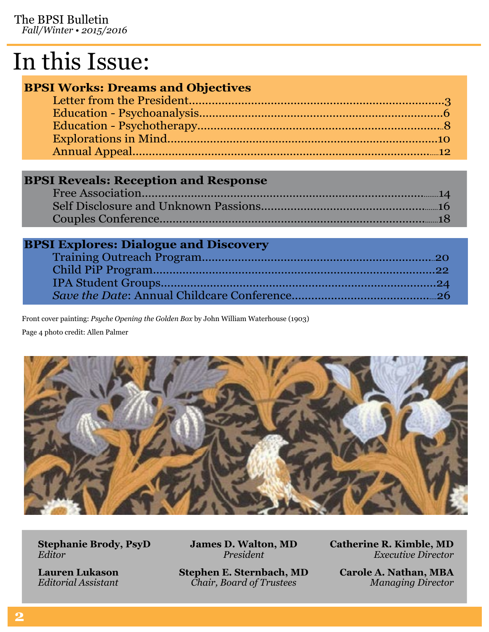# In this Issue:

| <b>BPSI Works: Dreams and Objectives</b> |  |
|------------------------------------------|--|
|                                          |  |
|                                          |  |
|                                          |  |
|                                          |  |
|                                          |  |

### **BPSI Reveals: Reception and Response**

### **BPSI Explores: Dialogue and Discovery**

Front cover painting: *Psyche Opening the Golden Box* by John William Waterhouse (1903) Page 4 photo credit: Allen Palmer



**Stephanie Brody, PsyD** *Editor*

**Lauren Lukason** *Editorial Assistant*

**James D. Walton, MD** *President*

**Stephen E. Sternbach, MD** *Chair, Board of Trustees*

**Catherine R. Kimble, MD** *Executive Director*

**Carole A. Nathan, MBA** *Managing Director*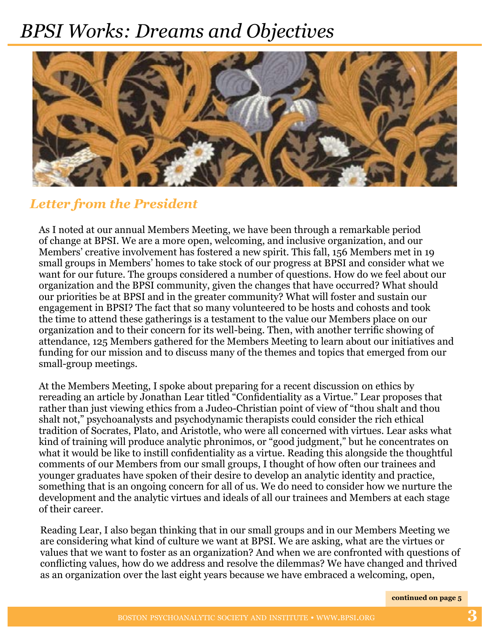### *BPSI Works: Dreams and Objectives*



### *Letter from the President*

As I noted at our annual Members Meeting, we have been through a remarkable period of change at BPSI. We are a more open, welcoming, and inclusive organization, and our Members' creative involvement has fostered a new spirit. This fall, 156 Members met in 19 small groups in Members' homes to take stock of our progress at BPSI and consider what we want for our future. The groups considered a number of questions. How do we feel about our organization and the BPSI community, given the changes that have occurred? What should our priorities be at BPSI and in the greater community? What will foster and sustain our engagement in BPSI? The fact that so many volunteered to be hosts and cohosts and took the time to attend these gatherings is a testament to the value our Members place on our organization and to their concern for its well-being. Then, with another terrific showing of attendance, 125 Members gathered for the Members Meeting to learn about our initiatives and funding for our mission and to discuss many of the themes and topics that emerged from our small-group meetings.

At the Members Meeting, I spoke about preparing for a recent discussion on ethics by rereading an article by Jonathan Lear titled "Confidentiality as a Virtue." Lear proposes that rather than just viewing ethics from a Judeo-Christian point of view of "thou shalt and thou shalt not," psychoanalysts and psychodynamic therapists could consider the rich ethical tradition of Socrates, Plato, and Aristotle, who were all concerned with virtues. Lear asks what kind of training will produce analytic phronimos, or "good judgment," but he concentrates on what it would be like to instill confidentiality as a virtue. Reading this alongside the thoughtful comments of our Members from our small groups, I thought of how often our trainees and younger graduates have spoken of their desire to develop an analytic identity and practice, something that is an ongoing concern for all of us. We do need to consider how we nurture the development and the analytic virtues and ideals of all our trainees and Members at each stage of their career.

Reading Lear, I also began thinking that in our small groups and in our Members Meeting we are considering what kind of culture we want at BPSI. We are asking, what are the virtues or values that we want to foster as an organization? And when we are confronted with questions of conflicting values, how do we address and resolve the dilemmas? We have changed and thrived as an organization over the last eight years because we have embraced a welcoming, open,

**continued on page 5**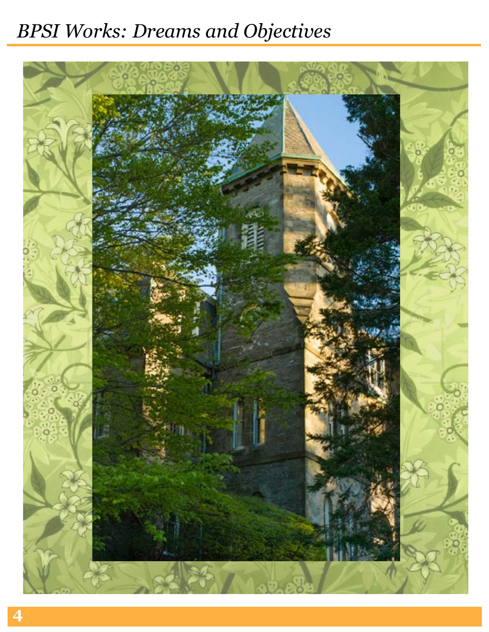# *BPSI Works: Dreams and Objectives*

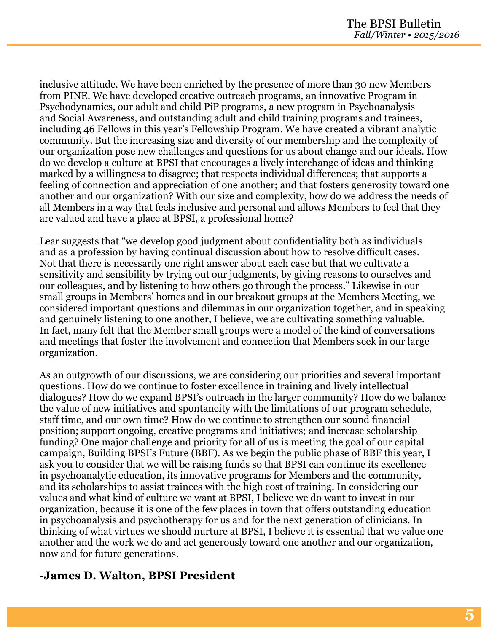inclusive attitude. We have been enriched by the presence of more than 30 new Members from PINE. We have developed creative outreach programs, an innovative Program in Psychodynamics, our adult and child PiP programs, a new program in Psychoanalysis and Social Awareness, and outstanding adult and child training programs and trainees, including 46 Fellows in this year's Fellowship Program. We have created a vibrant analytic community. But the increasing size and diversity of our membership and the complexity of our organization pose new challenges and questions for us about change and our ideals. How do we develop a culture at BPSI that encourages a lively interchange of ideas and thinking marked by a willingness to disagree; that respects individual differences; that supports a feeling of connection and appreciation of one another; and that fosters generosity toward one another and our organization? With our size and complexity, how do we address the needs of all Members in a way that feels inclusive and personal and allows Members to feel that they are valued and have a place at BPSI, a professional home?

Lear suggests that "we develop good judgment about confidentiality both as individuals and as a profession by having continual discussion about how to resolve difficult cases. Not that there is necessarily one right answer about each case but that we cultivate a sensitivity and sensibility by trying out our judgments, by giving reasons to ourselves and our colleagues, and by listening to how others go through the process." Likewise in our small groups in Members' homes and in our breakout groups at the Members Meeting, we considered important questions and dilemmas in our organization together, and in speaking and genuinely listening to one another, I believe, we are cultivating something valuable. In fact, many felt that the Member small groups were a model of the kind of conversations and meetings that foster the involvement and connection that Members seek in our large organization.

As an outgrowth of our discussions, we are considering our priorities and several important questions. How do we continue to foster excellence in training and lively intellectual dialogues? How do we expand BPSI's outreach in the larger community? How do we balance the value of new initiatives and spontaneity with the limitations of our program schedule, staff time, and our own time? How do we continue to strengthen our sound financial position; support ongoing, creative programs and initiatives; and increase scholarship funding? One major challenge and priority for all of us is meeting the goal of our capital campaign, Building BPSI's Future (BBF). As we begin the public phase of BBF this year, I ask you to consider that we will be raising funds so that BPSI can continue its excellence in psychoanalytic education, its innovative programs for Members and the community, and its scholarships to assist trainees with the high cost of training. In considering our values and what kind of culture we want at BPSI, I believe we do want to invest in our organization, because it is one of the few places in town that offers outstanding education in psychoanalysis and psychotherapy for us and for the next generation of clinicians. In thinking of what virtues we should nurture at BPSI, I believe it is essential that we value one another and the work we do and act generously toward one another and our organization, now and for future generations.

#### **-James D. Walton, BPSI President**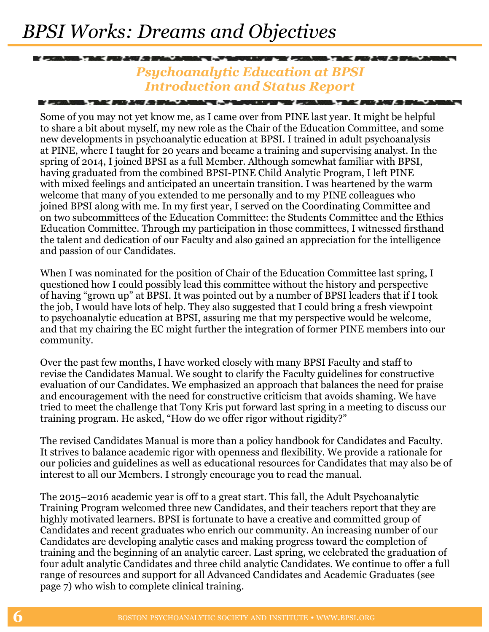### *Psychoanalytic Education at BPSI Introduction and Status Report*

Some of you may not yet know me, as I came over from PINE last year. It might be helpful to share a bit about myself, my new role as the Chair of the Education Committee, and some new developments in psychoanalytic education at BPSI. I trained in adult psychoanalysis at PINE, where I taught for 20 years and became a training and supervising analyst. In the spring of 2014, I joined BPSI as a full Member. Although somewhat familiar with BPSI, having graduated from the combined BPSI-PINE Child Analytic Program, I left PINE with mixed feelings and anticipated an uncertain transition. I was heartened by the warm welcome that many of you extended to me personally and to my PINE colleagues who joined BPSI along with me. In my first year, I served on the Coordinating Committee and on two subcommittees of the Education Committee: the Students Committee and the Ethics Education Committee. Through my participation in those committees, I witnessed firsthand the talent and dedication of our Faculty and also gained an appreciation for the intelligence and passion of our Candidates.

When I was nominated for the position of Chair of the Education Committee last spring, I questioned how I could possibly lead this committee without the history and perspective of having "grown up" at BPSI. It was pointed out by a number of BPSI leaders that if I took the job, I would have lots of help. They also suggested that I could bring a fresh viewpoint to psychoanalytic education at BPSI, assuring me that my perspective would be welcome, and that my chairing the EC might further the integration of former PINE members into our community.

Over the past few months, I have worked closely with many BPSI Faculty and staff to revise the Candidates Manual. We sought to clarify the Faculty guidelines for constructive evaluation of our Candidates. We emphasized an approach that balances the need for praise and encouragement with the need for constructive criticism that avoids shaming. We have tried to meet the challenge that Tony Kris put forward last spring in a meeting to discuss our training program. He asked, "How do we offer rigor without rigidity?"

The revised Candidates Manual is more than a policy handbook for Candidates and Faculty. It strives to balance academic rigor with openness and flexibility. We provide a rationale for our policies and guidelines as well as educational resources for Candidates that may also be of interest to all our Members. I strongly encourage you to read the manual.

The 2015–2016 academic year is off to a great start. This fall, the Adult Psychoanalytic Training Program welcomed three new Candidates, and their teachers report that they are highly motivated learners. BPSI is fortunate to have a creative and committed group of Candidates and recent graduates who enrich our community. An increasing number of our Candidates are developing analytic cases and making progress toward the completion of training and the beginning of an analytic career. Last spring, we celebrated the graduation of four adult analytic Candidates and three child analytic Candidates. We continue to offer a full range of resources and support for all Advanced Candidates and Academic Graduates (see page 7) who wish to complete clinical training.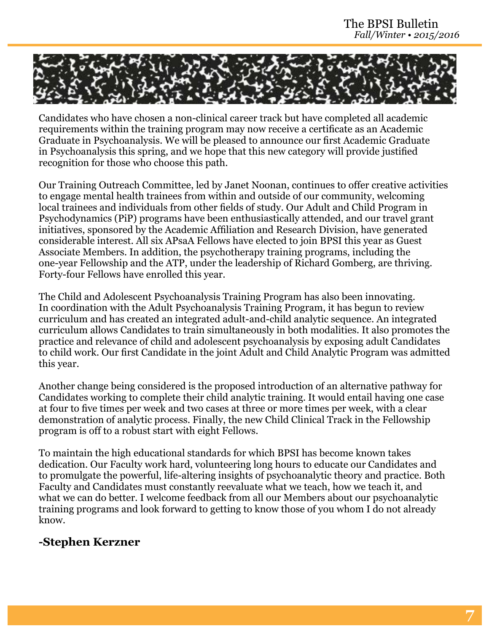

Candidates who have chosen a non-clinical career track but have completed all academic requirements within the training program may now receive a certificate as an Academic Graduate in Psychoanalysis. We will be pleased to announce our first Academic Graduate in Psychoanalysis this spring, and we hope that this new category will provide justified recognition for those who choose this path.

Our Training Outreach Committee, led by Janet Noonan, continues to offer creative activities to engage mental health trainees from within and outside of our community, welcoming local trainees and individuals from other fields of study. Our Adult and Child Program in Psychodynamics (PiP) programs have been enthusiastically attended, and our travel grant initiatives, sponsored by the Academic Affiliation and Research Division, have generated considerable interest. All six APsaA Fellows have elected to join BPSI this year as Guest Associate Members. In addition, the psychotherapy training programs, including the one-year Fellowship and the ATP, under the leadership of Richard Gomberg, are thriving. Forty-four Fellows have enrolled this year.

The Child and Adolescent Psychoanalysis Training Program has also been innovating. In coordination with the Adult Psychoanalysis Training Program, it has begun to review curriculum and has created an integrated adult-and-child analytic sequence. An integrated curriculum allows Candidates to train simultaneously in both modalities. It also promotes the practice and relevance of child and adolescent psychoanalysis by exposing adult Candidates to child work. Our first Candidate in the joint Adult and Child Analytic Program was admitted this year.

Another change being considered is the proposed introduction of an alternative pathway for Candidates working to complete their child analytic training. It would entail having one case at four to five times per week and two cases at three or more times per week, with a clear demonstration of analytic process. Finally, the new Child Clinical Track in the Fellowship program is off to a robust start with eight Fellows.

To maintain the high educational standards for which BPSI has become known takes dedication. Our Faculty work hard, volunteering long hours to educate our Candidates and to promulgate the powerful, life-altering insights of psychoanalytic theory and practice. Both Faculty and Candidates must constantly reevaluate what we teach, how we teach it, and what we can do better. I welcome feedback from all our Members about our psychoanalytic training programs and look forward to getting to know those of you whom I do not already know.

### **-Stephen Kerzner**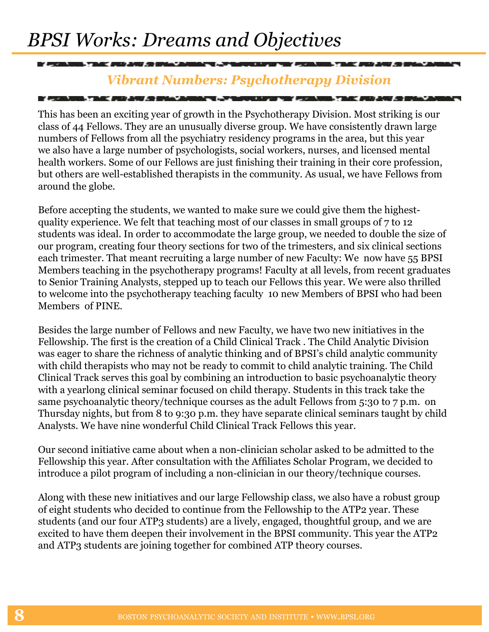# *BPSI Works: Dreams and Objectives*

# *Vibrant Numbers: Psychotherapy Division*

This has been an exciting year of growth in the Psychotherapy Division. Most striking is our class of 44 Fellows. They are an unusually diverse group. We have consistently drawn large numbers of Fellows from all the psychiatry residency programs in the area, but this year we also have a large number of psychologists, social workers, nurses, and licensed mental health workers. Some of our Fellows are just finishing their training in their core profession, but others are well-established therapists in the community. As usual, we have Fellows from around the globe.

Before accepting the students, we wanted to make sure we could give them the highestquality experience. We felt that teaching most of our classes in small groups of 7 to 12 students was ideal. In order to accommodate the large group, we needed to double the size of our program, creating four theory sections for two of the trimesters, and six clinical sections each trimester. That meant recruiting a large number of new Faculty: We now have 55 BPSI Members teaching in the psychotherapy programs! Faculty at all levels, from recent graduates to Senior Training Analysts, stepped up to teach our Fellows this year. We were also thrilled to welcome into the psychotherapy teaching faculty 10 new Members of BPSI who had been Members of PINE.

Besides the large number of Fellows and new Faculty, we have two new initiatives in the Fellowship. The first is the creation of a Child Clinical Track . The Child Analytic Division was eager to share the richness of analytic thinking and of BPSI's child analytic community with child therapists who may not be ready to commit to child analytic training. The Child Clinical Track serves this goal by combining an introduction to basic psychoanalytic theory with a yearlong clinical seminar focused on child therapy. Students in this track take the same psychoanalytic theory/technique courses as the adult Fellows from 5:30 to 7 p.m. on Thursday nights, but from 8 to 9:30 p.m. they have separate clinical seminars taught by child Analysts. We have nine wonderful Child Clinical Track Fellows this year.

Our second initiative came about when a non-clinician scholar asked to be admitted to the Fellowship this year. After consultation with the Affiliates Scholar Program, we decided to introduce a pilot program of including a non-clinician in our theory/technique courses.

Along with these new initiatives and our large Fellowship class, we also have a robust group of eight students who decided to continue from the Fellowship to the ATP2 year. These students (and our four ATP3 students) are a lively, engaged, thoughtful group, and we are excited to have them deepen their involvement in the BPSI community. This year the ATP2 and ATP3 students are joining together for combined ATP theory courses.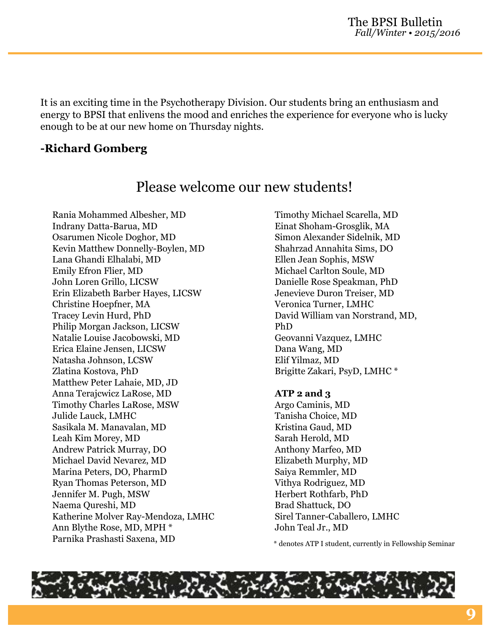It is an exciting time in the Psychotherapy Division. Our students bring an enthusiasm and energy to BPSI that enlivens the mood and enriches the experience for everyone who is lucky enough to be at our new home on Thursday nights.

### **-Richard Gomberg**

### Please welcome our new students!

Rania Mohammed Albesher, MD Indrany Datta-Barua, MD Osarumen Nicole Doghor, MD Kevin Matthew Donnelly-Boylen, MD Lana Ghandi Elhalabi, MD Emily Efron Flier, MD John Loren Grillo, LICSW Erin Elizabeth Barber Hayes, LICSW Christine Hoepfner, MA Tracey Levin Hurd, PhD Philip Morgan Jackson, LICSW Natalie Louise Jacobowski, MD Erica Elaine Jensen, LICSW Natasha Johnson, LCSW Zlatina Kostova, PhD Matthew Peter Lahaie, MD, JD Anna Terajcwicz LaRose, MD Timothy Charles LaRose, MSW Julide Lauck, LMHC Sasikala M. Manavalan, MD Leah Kim Morey, MD Andrew Patrick Murray, DO Michael David Nevarez, MD Marina Peters, DO, PharmD Ryan Thomas Peterson, MD Jennifer M. Pugh, MSW Naema Qureshi, MD Katherine Molver Ray-Mendoza, LMHC Ann Blythe Rose, MD, MPH \* Parnika Prashasti Saxena, MD \* denotes ATP I student, currently in Fellowship Seminar

Timothy Michael Scarella, MD Einat Shoham-Grosglik, MA Simon Alexander Sidelnik, MD Shahrzad Annahita Sims, DO Ellen Jean Sophis, MSW Michael Carlton Soule, MD Danielle Rose Speakman, PhD Jenevieve Duron Treiser, MD Veronica Turner, LMHC David William van Norstrand, MD, PhD Geovanni Vazquez, LMHC Dana Wang, MD Elif Yilmaz, MD Brigitte Zakari, PsyD, LMHC \*

### **ATP 2 and 3**

Argo Caminis, MD Tanisha Choice, MD Kristina Gaud, MD Sarah Herold, MD Anthony Marfeo, MD Elizabeth Murphy, MD Saiya Remmler, MD Vithya Rodriguez, MD Herbert Rothfarb, PhD Brad Shattuck, DO Sirel Tanner-Caballero, LMHC John Teal Jr., MD

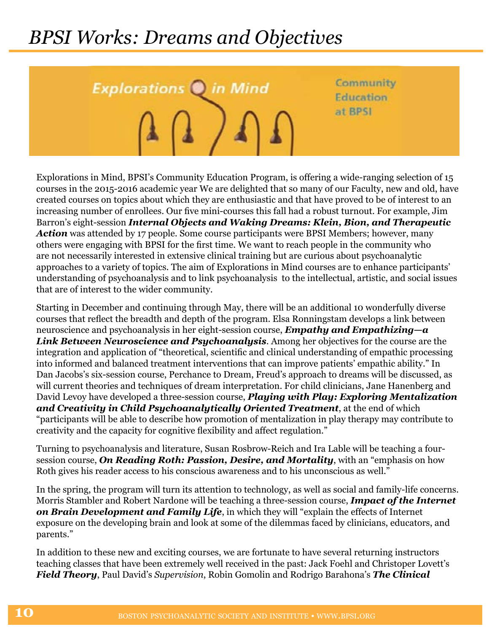# *BPSI Works: Dreams and Objectives*



Explorations in Mind, BPSI's Community Education Program, is offering a wide-ranging selection of 15 courses in the 2015-2016 academic year We are delighted that so many of our Faculty, new and old, have created courses on topics about which they are enthusiastic and that have proved to be of interest to an increasing number of enrollees. Our five mini-courses this fall had a robust turnout. For example, Jim Barron's eight-session *Internal Objects and Waking Dreams: Klein, Bion, and Therapeutic Action* was attended by 17 people. Some course participants were BPSI Members; however, many others were engaging with BPSI for the first time. We want to reach people in the community who are not necessarily interested in extensive clinical training but are curious about psychoanalytic approaches to a variety of topics. The aim of Explorations in Mind courses are to enhance participants' understanding of psychoanalysis and to link psychoanalysis to the intellectual, artistic, and social issues that are of interest to the wider community.

Starting in December and continuing through May, there will be an additional 10 wonderfully diverse courses that reflect the breadth and depth of the program. Elsa Ronningstam develops a link between neuroscience and psychoanalysis in her eight-session course, *Empathy and Empathizing—a Link Between Neuroscience and Psychoanalysis*. Among her objectives for the course are the integration and application of "theoretical, scientific and clinical understanding of empathic processing into informed and balanced treatment interventions that can improve patients' empathic ability." In Dan Jacobs's six-session course, Perchance to Dream, Freud's approach to dreams will be discussed, as will current theories and techniques of dream interpretation. For child clinicians, Jane Hanenberg and David Levoy have developed a three-session course, *Playing with Play: Exploring Mentalization and Creativity in Child Psychoanalytically Oriented Treatment*, at the end of which "participants will be able to describe how promotion of mentalization in play therapy may contribute to creativity and the capacity for cognitive flexibility and affect regulation."

Turning to psychoanalysis and literature, Susan Rosbrow-Reich and Ira Lable will be teaching a foursession course, *On Reading Roth: Passion, Desire, and Mortality*, with an "emphasis on how Roth gives his reader access to his conscious awareness and to his unconscious as well."

In the spring, the program will turn its attention to technology, as well as social and family-life concerns. Morris Stambler and Robert Nardone will be teaching a three-session course, *Impact of the Internet on Brain Development and Family Life*, in which they will "explain the effects of Internet exposure on the developing brain and look at some of the dilemmas faced by clinicians, educators, and parents."

In addition to these new and exciting courses, we are fortunate to have several returning instructors teaching classes that have been extremely well received in the past: Jack Foehl and Christoper Lovett's *Field Theory*, Paul David's *Supervision*, Robin Gomolin and Rodrigo Barahona's *The Clinical*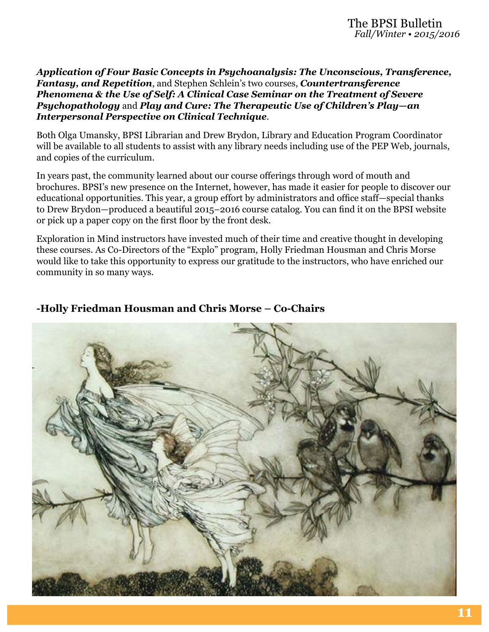#### *Application of Four Basic Concepts in Psychoanalysis: The Unconscious, Transference, Fantasy, and Repetition*, and Stephen Schlein's two courses, *Countertransference Phenomena & the Use of Self: A Clinical Case Seminar on the Treatment of Severe Psychopathology* and *Play and Cure: The Therapeutic Use of Children's Play—an Interpersonal Perspective on Clinical Technique*.

Both Olga Umansky, BPSI Librarian and Drew Brydon, Library and Education Program Coordinator will be available to all students to assist with any library needs including use of the PEP Web, journals, and copies of the curriculum.

In years past, the community learned about our course offerings through word of mouth and brochures. BPSI's new presence on the Internet, however, has made it easier for people to discover our educational opportunities. This year, a group effort by administrators and office staff—special thanks to Drew Brydon—produced a beautiful 2015–2016 course catalog. You can find it on the BPSI website or pick up a paper copy on the first floor by the front desk.

Exploration in Mind instructors have invested much of their time and creative thought in developing these courses. As Co-Directors of the "Explo" program, Holly Friedman Housman and Chris Morse would like to take this opportunity to express our gratitude to the instructors, who have enriched our community in so many ways.



#### **-Holly Friedman Housman and Chris Morse – Co-Chairs**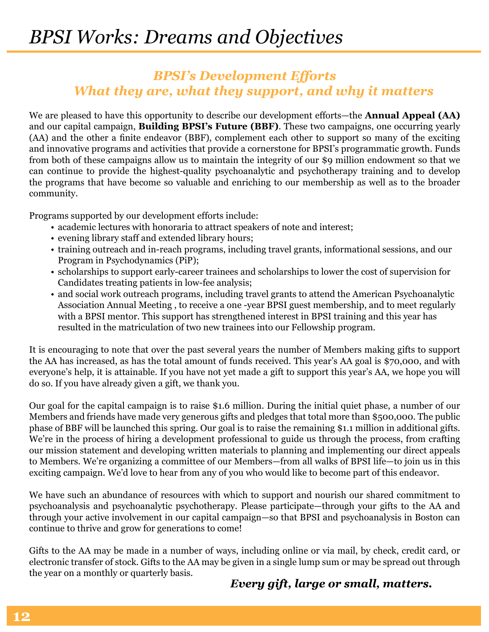# *BPSI Works: Dreams and Objectives*

### *BPSI's Development Efforts What they are, what they support, and why it matters*

We are pleased to have this opportunity to describe our development efforts—the **Annual Appeal (AA)** and our capital campaign, **Building BPSI's Future (BBF)**. These two campaigns, one occurring yearly (AA) and the other a finite endeavor (BBF), complement each other to support so many of the exciting and innovative programs and activities that provide a cornerstone for BPSI's programmatic growth. Funds from both of these campaigns allow us to maintain the integrity of our \$9 million endowment so that we can continue to provide the highest-quality psychoanalytic and psychotherapy training and to develop the programs that have become so valuable and enriching to our membership as well as to the broader community.

Programs supported by our development efforts include:

- academic lectures with honoraria to attract speakers of note and interest;
- evening library staff and extended library hours;
- training outreach and in-reach programs, including travel grants, informational sessions, and our Program in Psychodynamics (PiP);
- scholarships to support early-career trainees and scholarships to lower the cost of supervision for Candidates treating patients in low-fee analysis;
- and social work outreach programs, including travel grants to attend the American Psychoanalytic Association Annual Meeting , to receive a one -year BPSI guest membership, and to meet regularly with a BPSI mentor. This support has strengthened interest in BPSI training and this year has resulted in the matriculation of two new trainees into our Fellowship program.

It is encouraging to note that over the past several years the number of Members making gifts to support the AA has increased, as has the total amount of funds received. This year's AA goal is \$70,000, and with everyone's help, it is attainable. If you have not yet made a gift to support this year's AA, we hope you will do so. If you have already given a gift, we thank you.

Our goal for the capital campaign is to raise \$1.6 million. During the initial quiet phase, a number of our Members and friends have made very generous gifts and pledges that total more than \$500,000. The public phase of BBF will be launched this spring. Our goal is to raise the remaining \$1.1 million in additional gifts. We're in the process of hiring a development professional to guide us through the process, from crafting our mission statement and developing written materials to planning and implementing our direct appeals to Members. We're organizing a committee of our Members—from all walks of BPSI life—to join us in this exciting campaign. We'd love to hear from any of you who would like to become part of this endeavor.

We have such an abundance of resources with which to support and nourish our shared commitment to psychoanalysis and psychoanalytic psychotherapy. Please participate—through your gifts to the AA and through your active involvement in our capital campaign—so that BPSI and psychoanalysis in Boston can continue to thrive and grow for generations to come!

Gifts to the AA may be made in a number of ways, including online or via mail, by check, credit card, or electronic transfer of stock. Gifts to the AA may be given in a single lump sum or may be spread out through the year on a monthly or quarterly basis.

### *Every gift, large or small, matters.*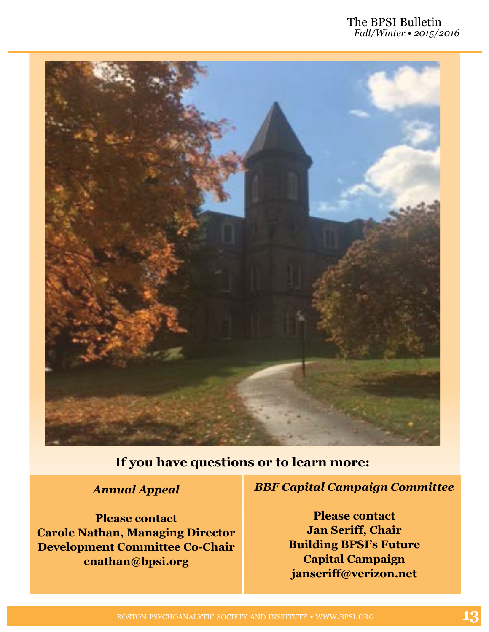#### The BPSI Bulletin *Fall/Winter • 2015/2016*



### **If you have questions or to learn more:**

### *Annual Appeal*

**Please contact Carole Nathan, Managing Director Development Committee Co-Chair cnathan@bpsi.org**

*BBF Capital Campaign Committee* 

**Please contact Jan Seriff, Chair Building BPSI's Future Capital Campaign janseriff@verizon.net**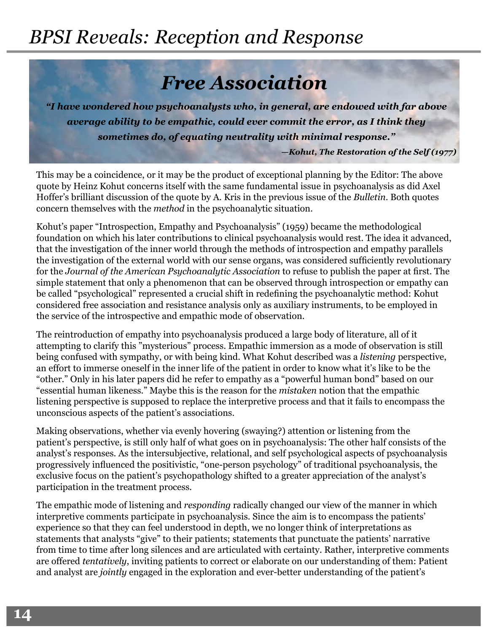# *BPSI Reveals: Reception and Response*

### *Free Association*

*"I have wondered how psychoanalysts who, in general, are endowed with far above average ability to be empathic, could ever commit the error, as I think they sometimes do, of equating neutrality with minimal response."*

*—Kohut, The Restoration of the Self (1977)*

This may be a coincidence, or it may be the product of exceptional planning by the Editor: The above quote by Heinz Kohut concerns itself with the same fundamental issue in psychoanalysis as did Axel Hoffer's brilliant discussion of the quote by A. Kris in the previous issue of the *Bulletin*. Both quotes concern themselves with the *method* in the psychoanalytic situation.

Kohut's paper "Introspection, Empathy and Psychoanalysis" (1959) became the methodological foundation on which his later contributions to clinical psychoanalysis would rest. The idea it advanced, that the investigation of the inner world through the methods of introspection and empathy parallels the investigation of the external world with our sense organs, was considered sufficiently revolutionary for the *Journal of the American Psychoanalytic Association* to refuse to publish the paper at first. The simple statement that only a phenomenon that can be observed through introspection or empathy can be called "psychological" represented a crucial shift in redefining the psychoanalytic method: Kohut considered free association and resistance analysis only as auxiliary instruments, to be employed in the service of the introspective and empathic mode of observation.

The reintroduction of empathy into psychoanalysis produced a large body of literature, all of it attempting to clarify this "mysterious" process. Empathic immersion as a mode of observation is still being confused with sympathy, or with being kind. What Kohut described was a *listening* perspective, an effort to immerse oneself in the inner life of the patient in order to know what it's like to be the "other." Only in his later papers did he refer to empathy as a "powerful human bond" based on our "essential human likeness." Maybe this is the reason for the *mistaken* notion that the empathic listening perspective is supposed to replace the interpretive process and that it fails to encompass the unconscious aspects of the patient's associations.

Making observations, whether via evenly hovering (swaying?) attention or listening from the patient's perspective, is still only half of what goes on in psychoanalysis: The other half consists of the analyst's responses. As the intersubjective, relational, and self psychological aspects of psychoanalysis progressively influenced the positivistic, "one-person psychology" of traditional psychoanalysis, the exclusive focus on the patient's psychopathology shifted to a greater appreciation of the analyst's participation in the treatment process.

The empathic mode of listening and *responding* radically changed our view of the manner in which interpretive comments participate in psychoanalysis. Since the aim is to encompass the patients' experience so that they can feel understood in depth, we no longer think of interpretations as statements that analysts "give" to their patients; statements that punctuate the patients' narrative from time to time after long silences and are articulated with certainty. Rather, interpretive comments are offered *tentatively*, inviting patients to correct or elaborate on our understanding of them: Patient and analyst are *jointly* engaged in the exploration and ever-better understanding of the patient's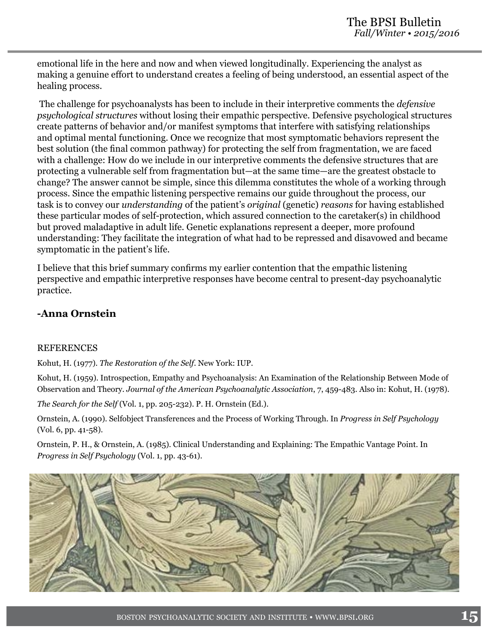emotional life in the here and now and when viewed longitudinally. Experiencing the analyst as making a genuine effort to understand creates a feeling of being understood, an essential aspect of the healing process.

 The challenge for psychoanalysts has been to include in their interpretive comments the *defensive psychological structures* without losing their empathic perspective. Defensive psychological structures create patterns of behavior and/or manifest symptoms that interfere with satisfying relationships and optimal mental functioning. Once we recognize that most symptomatic behaviors represent the best solution (the final common pathway) for protecting the self from fragmentation, we are faced with a challenge: How do we include in our interpretive comments the defensive structures that are protecting a vulnerable self from fragmentation but—at the same time—are the greatest obstacle to change? The answer cannot be simple, since this dilemma constitutes the whole of a working through process. Since the empathic listening perspective remains our guide throughout the process, our task is to convey our *understanding* of the patient's *original* (genetic) *reasons* for having established these particular modes of self-protection, which assured connection to the caretaker(s) in childhood but proved maladaptive in adult life. Genetic explanations represent a deeper, more profound understanding: They facilitate the integration of what had to be repressed and disavowed and became symptomatic in the patient's life.

I believe that this brief summary confirms my earlier contention that the empathic listening perspective and empathic interpretive responses have become central to present-day psychoanalytic practice.

#### **-Anna Ornstein**

#### **REFERENCES**

Kohut, H. (1977). *The Restoration of the Self*. New York: IUP.

Kohut, H. (1959). Introspection, Empathy and Psychoanalysis: An Examination of the Relationship Between Mode of Observation and Theory. *Journal of the American Psychoanalytic Association*, 7, 459-483. Also in: Kohut, H. (1978).

*The Search for the Self* (Vol. 1, pp. 205-232). P. H. Ornstein (Ed.).

Ornstein, A. (1990). Selfobject Transferences and the Process of Working Through. In *Progress in Self Psychology* (Vol. 6, pp. 41-58).

Ornstein, P. H., & Ornstein, A. (1985). Clinical Understanding and Explaining: The Empathic Vantage Point. In *Progress in Self Psychology* (Vol. 1, pp. 43-61).

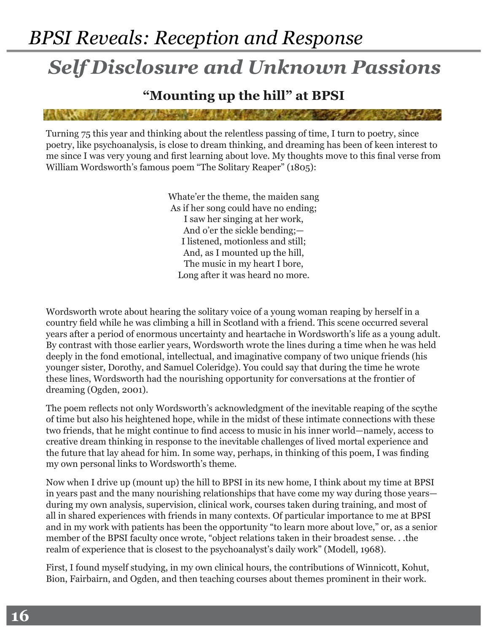# *Self Disclosure and Unknown Passions*

### **"Mounting up the hill" at BPSI**

The New York of the contribution of the contribution of the contribution of the contribution of the contribution of the contribution of the contribution of the contribution of the contribution of the contribution of the co

Turning 75 this year and thinking about the relentless passing of time, I turn to poetry, since poetry, like psychoanalysis, is close to dream thinking, and dreaming has been of keen interest to me since I was very young and first learning about love. My thoughts move to this final verse from William Wordsworth's famous poem "The Solitary Reaper" (1805):

> Whate'er the theme, the maiden sang As if her song could have no ending; I saw her singing at her work, And o'er the sickle bending;— I listened, motionless and still; And, as I mounted up the hill, The music in my heart I bore, Long after it was heard no more.

Wordsworth wrote about hearing the solitary voice of a young woman reaping by herself in a country field while he was climbing a hill in Scotland with a friend. This scene occurred several years after a period of enormous uncertainty and heartache in Wordsworth's life as a young adult. By contrast with those earlier years, Wordsworth wrote the lines during a time when he was held deeply in the fond emotional, intellectual, and imaginative company of two unique friends (his younger sister, Dorothy, and Samuel Coleridge). You could say that during the time he wrote these lines, Wordsworth had the nourishing opportunity for conversations at the frontier of dreaming (Ogden, 2001).

The poem reflects not only Wordsworth's acknowledgment of the inevitable reaping of the scythe of time but also his heightened hope, while in the midst of these intimate connections with these two friends, that he might continue to find access to music in his inner world—namely, access to creative dream thinking in response to the inevitable challenges of lived mortal experience and the future that lay ahead for him. In some way, perhaps, in thinking of this poem, I was finding my own personal links to Wordsworth's theme.

Now when I drive up (mount up) the hill to BPSI in its new home, I think about my time at BPSI in years past and the many nourishing relationships that have come my way during those years during my own analysis, supervision, clinical work, courses taken during training, and most of all in shared experiences with friends in many contexts. Of particular importance to me at BPSI and in my work with patients has been the opportunity "to learn more about love," or, as a senior member of the BPSI faculty once wrote, "object relations taken in their broadest sense. . .the realm of experience that is closest to the psychoanalyst's daily work" (Modell, 1968).

First, I found myself studying, in my own clinical hours, the contributions of Winnicott, Kohut, Bion, Fairbairn, and Ogden, and then teaching courses about themes prominent in their work.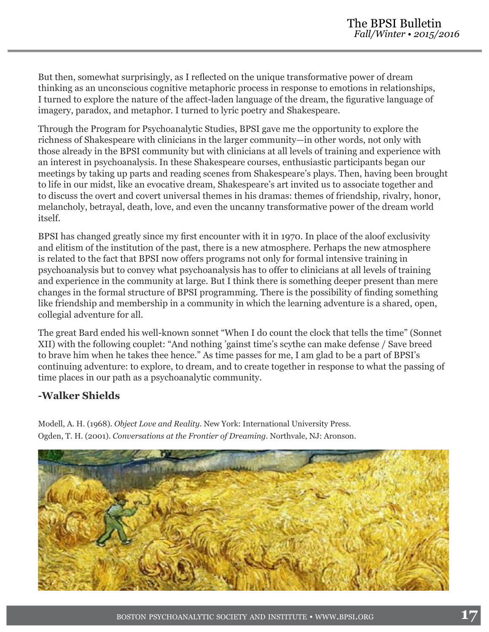But then, somewhat surprisingly, as I reflected on the unique transformative power of dream thinking as an unconscious cognitive metaphoric process in response to emotions in relationships, I turned to explore the nature of the affect-laden language of the dream, the figurative language of imagery, paradox, and metaphor. I turned to lyric poetry and Shakespeare.

Through the Program for Psychoanalytic Studies, BPSI gave me the opportunity to explore the richness of Shakespeare with clinicians in the larger community—in other words, not only with those already in the BPSI community but with clinicians at all levels of training and experience with an interest in psychoanalysis. In these Shakespeare courses, enthusiastic participants began our meetings by taking up parts and reading scenes from Shakespeare's plays. Then, having been brought to life in our midst, like an evocative dream, Shakespeare's art invited us to associate together and to discuss the overt and covert universal themes in his dramas: themes of friendship, rivalry, honor, melancholy, betrayal, death, love, and even the uncanny transformative power of the dream world itself.

BPSI has changed greatly since my first encounter with it in 1970. In place of the aloof exclusivity and elitism of the institution of the past, there is a new atmosphere. Perhaps the new atmosphere is related to the fact that BPSI now offers programs not only for formal intensive training in psychoanalysis but to convey what psychoanalysis has to offer to clinicians at all levels of training and experience in the community at large. But I think there is something deeper present than mere changes in the formal structure of BPSI programming. There is the possibility of finding something like friendship and membership in a community in which the learning adventure is a shared, open, collegial adventure for all.

The great Bard ended his well-known sonnet "When I do count the clock that tells the time" (Sonnet XII) with the following couplet: "And nothing 'gainst time's scythe can make defense / Save breed to brave him when he takes thee hence." As time passes for me, I am glad to be a part of BPSI's continuing adventure: to explore, to dream, and to create together in response to what the passing of time places in our path as a psychoanalytic community.

### **-Walker Shields**

Modell, A. H. (1968). *Object Love and Reality*. New York: International University Press. Ogden, T. H. (2001). *Conversations at the Frontier of Dreaming*. Northvale, NJ: Aronson.

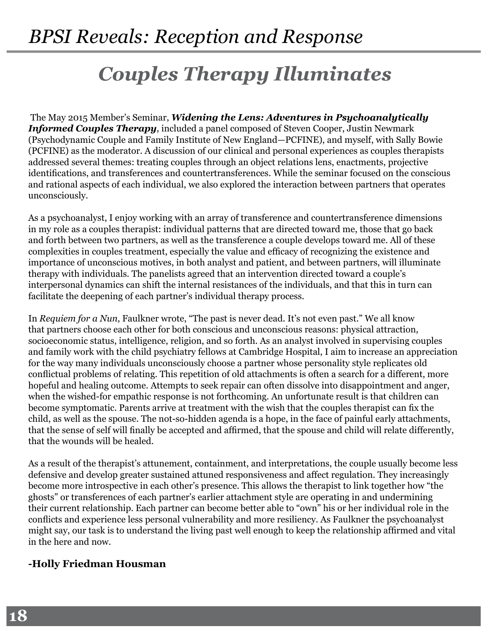# *Couples Therapy Illuminates*

 The May 2015 Member's Seminar, *Widening the Lens: Adventures in Psychoanalytically Informed Couples Therapy*, included a panel composed of Steven Cooper, Justin Newmark (Psychodynamic Couple and Family Institute of New England—PCFINE), and myself, with Sally Bowie (PCFINE) as the moderator. A discussion of our clinical and personal experiences as couples therapists addressed several themes: treating couples through an object relations lens, enactments, projective identifications, and transferences and countertransferences. While the seminar focused on the conscious and rational aspects of each individual, we also explored the interaction between partners that operates unconsciously.

As a psychoanalyst, I enjoy working with an array of transference and countertransference dimensions in my role as a couples therapist: individual patterns that are directed toward me, those that go back and forth between two partners, as well as the transference a couple develops toward me. All of these complexities in couples treatment, especially the value and efficacy of recognizing the existence and importance of unconscious motives, in both analyst and patient, and between partners, will illuminate therapy with individuals. The panelists agreed that an intervention directed toward a couple's interpersonal dynamics can shift the internal resistances of the individuals, and that this in turn can facilitate the deepening of each partner's individual therapy process.

In *Requiem for a Nun*, Faulkner wrote, "The past is never dead. It's not even past." We all know that partners choose each other for both conscious and unconscious reasons: physical attraction, socioeconomic status, intelligence, religion, and so forth. As an analyst involved in supervising couples and family work with the child psychiatry fellows at Cambridge Hospital, I aim to increase an appreciation for the way many individuals unconsciously choose a partner whose personality style replicates old conflictual problems of relating. This repetition of old attachments is often a search for a different, more hopeful and healing outcome. Attempts to seek repair can often dissolve into disappointment and anger, when the wished-for empathic response is not forthcoming. An unfortunate result is that children can become symptomatic. Parents arrive at treatment with the wish that the couples therapist can fix the child, as well as the spouse. The not-so-hidden agenda is a hope, in the face of painful early attachments, that the sense of self will finally be accepted and affirmed, that the spouse and child will relate differently, that the wounds will be healed.

As a result of the therapist's attunement, containment, and interpretations, the couple usually become less defensive and develop greater sustained attuned responsiveness and affect regulation. They increasingly become more introspective in each other's presence. This allows the therapist to link together how "the ghosts" or transferences of each partner's earlier attachment style are operating in and undermining their current relationship. Each partner can become better able to "own" his or her individual role in the conflicts and experience less personal vulnerability and more resiliency. As Faulkner the psychoanalyst might say, our task is to understand the living past well enough to keep the relationship affirmed and vital in the here and now.

### **-Holly Friedman Housman**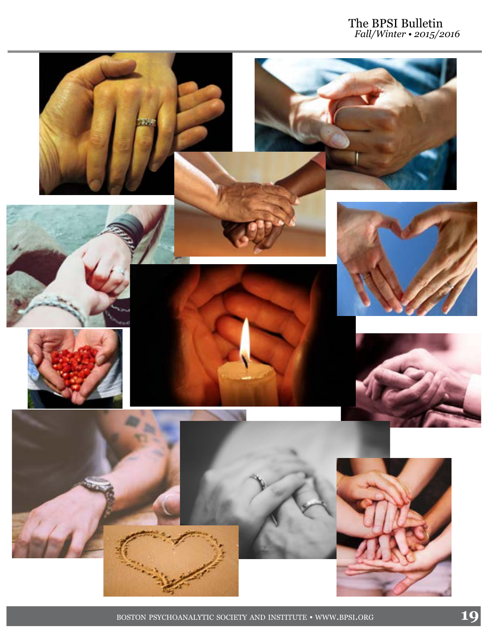#### The BPSI Bulletin *Fall/Winter • 2015/2016*

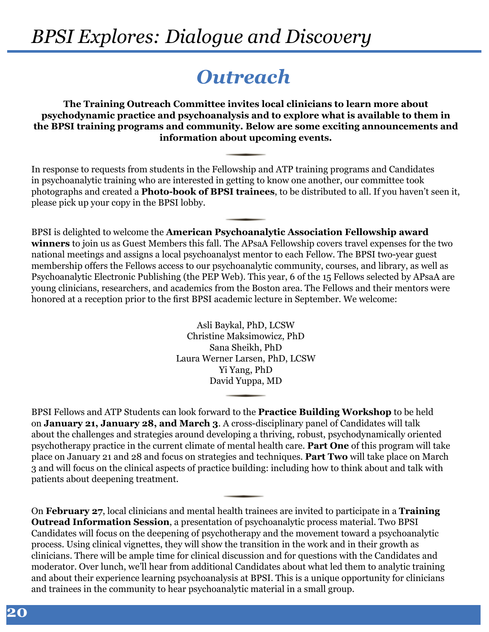# *BPSI Explores: Dialogue and Discovery*

# *Outreach*

**The Training Outreach Committee invites local clinicians to learn more about psychodynamic practice and psychoanalysis and to explore what is available to them in the BPSI training programs and community. Below are some exciting announcements and information about upcoming events.**

In response to requests from students in the Fellowship and ATP training programs and Candidates in psychoanalytic training who are interested in getting to know one another, our committee took photographs and created a **Photo-book of BPSI trainees**, to be distributed to all. If you haven't seen it, please pick up your copy in the BPSI lobby.

BPSI is delighted to welcome the **American Psychoanalytic Association Fellowship award winners** to join us as Guest Members this fall. The APsaA Fellowship covers travel expenses for the two national meetings and assigns a local psychoanalyst mentor to each Fellow. The BPSI two-year guest membership offers the Fellows access to our psychoanalytic community, courses, and library, as well as Psychoanalytic Electronic Publishing (the PEP Web). This year, 6 of the 15 Fellows selected by APsaA are young clinicians, researchers, and academics from the Boston area. The Fellows and their mentors were honored at a reception prior to the first BPSI academic lecture in September. We welcome:

> Asli Baykal, PhD, LCSW Christine Maksimowicz, PhD Sana Sheikh, PhD Laura Werner Larsen, PhD, LCSW Yi Yang, PhD David Yuppa, MD

BPSI Fellows and ATP Students can look forward to the **Practice Building Workshop** to be held on **January 21, January 28, and March 3**. A cross-disciplinary panel of Candidates will talk about the challenges and strategies around developing a thriving, robust, psychodynamically oriented psychotherapy practice in the current climate of mental health care. **Part One** of this program will take place on January 21 and 28 and focus on strategies and techniques. **Part Two** will take place on March 3 and will focus on the clinical aspects of practice building: including how to think about and talk with patients about deepening treatment.

On **February 27**, local clinicians and mental health trainees are invited to participate in a **Training Outread Information Session**, a presentation of psychoanalytic process material. Two BPSI Candidates will focus on the deepening of psychotherapy and the movement toward a psychoanalytic process. Using clinical vignettes, they will show the transition in the work and in their growth as clinicians. There will be ample time for clinical discussion and for questions with the Candidates and moderator. Over lunch, we'll hear from additional Candidates about what led them to analytic training and about their experience learning psychoanalysis at BPSI. This is a unique opportunity for clinicians and trainees in the community to hear psychoanalytic material in a small group.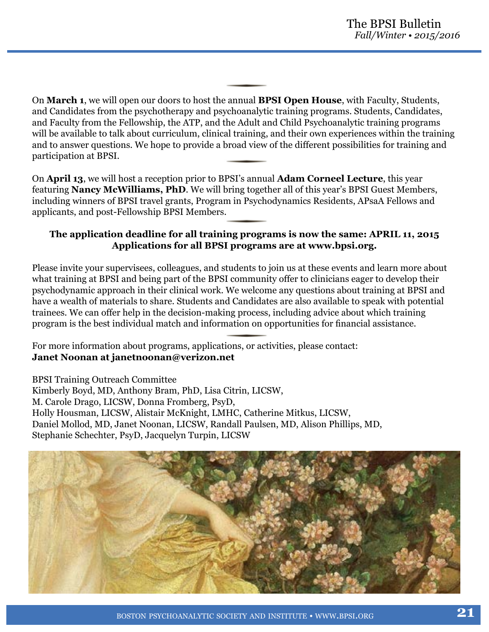On **March 1**, we will open our doors to host the annual **BPSI Open House**, with Faculty, Students, and Candidates from the psychotherapy and psychoanalytic training programs. Students, Candidates, and Faculty from the Fellowship, the ATP, and the Adult and Child Psychoanalytic training programs will be available to talk about curriculum, clinical training, and their own experiences within the training and to answer questions. We hope to provide a broad view of the different possibilities for training and participation at BPSI.

On **April 13**, we will host a reception prior to BPSI's annual **Adam Corneel Lecture**, this year featuring **Nancy McWilliams, PhD**. We will bring together all of this year's BPSI Guest Members, including winners of BPSI travel grants, Program in Psychodynamics Residents, APsaA Fellows and applicants, and post-Fellowship BPSI Members.

#### **The application deadline for all training programs is now the same: APRIL 11, 2015 Applications for all BPSI programs are at www.bpsi.org.**

Please invite your supervisees, colleagues, and students to join us at these events and learn more about what training at BPSI and being part of the BPSI community offer to clinicians eager to develop their psychodynamic approach in their clinical work. We welcome any questions about training at BPSI and have a wealth of materials to share. Students and Candidates are also available to speak with potential trainees. We can offer help in the decision-making process, including advice about which training program is the best individual match and information on opportunities for financial assistance.

For more information about programs, applications, or activities, please contact: **Janet Noonan at janetnoonan@verizon.net** 

BPSI Training Outreach Committee Kimberly Boyd, MD, Anthony Bram, PhD, Lisa Citrin, LICSW, M. Carole Drago, LICSW, Donna Fromberg, PsyD, Holly Housman, LICSW, Alistair McKnight, LMHC, Catherine Mitkus, LICSW, Daniel Mollod, MD, Janet Noonan, LICSW, Randall Paulsen, MD, Alison Phillips, MD, Stephanie Schechter, PsyD, Jacquelyn Turpin, LICSW

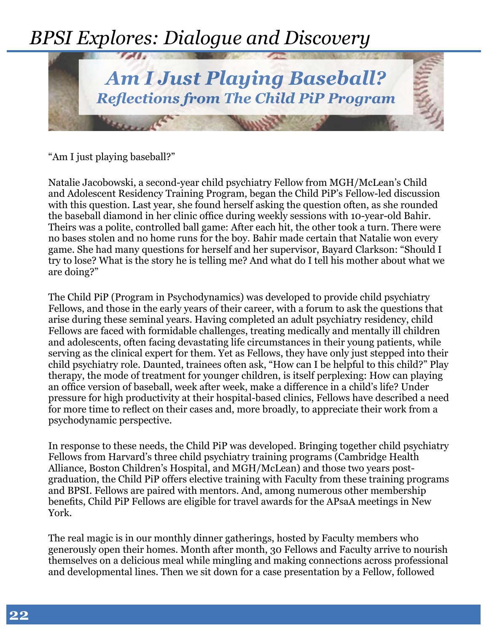# *BPSI Explores: Dialogue and Discovery*



"Am I just playing baseball?"

Natalie Jacobowski, a second-year child psychiatry Fellow from MGH/McLean's Child and Adolescent Residency Training Program, began the Child PiP's Fellow-led discussion with this question. Last year, she found herself asking the question often, as she rounded the baseball diamond in her clinic office during weekly sessions with 10-year-old Bahir. Theirs was a polite, controlled ball game: After each hit, the other took a turn. There were no bases stolen and no home runs for the boy. Bahir made certain that Natalie won every game. She had many questions for herself and her supervisor, Bayard Clarkson: "Should I try to lose? What is the story he is telling me? And what do I tell his mother about what we are doing?"

The Child PiP (Program in Psychodynamics) was developed to provide child psychiatry Fellows, and those in the early years of their career, with a forum to ask the questions that arise during these seminal years. Having completed an adult psychiatry residency, child Fellows are faced with formidable challenges, treating medically and mentally ill children and adolescents, often facing devastating life circumstances in their young patients, while serving as the clinical expert for them. Yet as Fellows, they have only just stepped into their child psychiatry role. Daunted, trainees often ask, "How can I be helpful to this child?" Play therapy, the mode of treatment for younger children, is itself perplexing: How can playing an office version of baseball, week after week, make a difference in a child's life? Under pressure for high productivity at their hospital-based clinics, Fellows have described a need for more time to reflect on their cases and, more broadly, to appreciate their work from a psychodynamic perspective.

In response to these needs, the Child PiP was developed. Bringing together child psychiatry Fellows from Harvard's three child psychiatry training programs (Cambridge Health Alliance, Boston Children's Hospital, and MGH/McLean) and those two years postgraduation, the Child PiP offers elective training with Faculty from these training programs and BPSI. Fellows are paired with mentors. And, among numerous other membership benefits, Child PiP Fellows are eligible for travel awards for the APsaA meetings in New York.

The real magic is in our monthly dinner gatherings, hosted by Faculty members who generously open their homes. Month after month, 30 Fellows and Faculty arrive to nourish themselves on a delicious meal while mingling and making connections across professional and developmental lines. Then we sit down for a case presentation by a Fellow, followed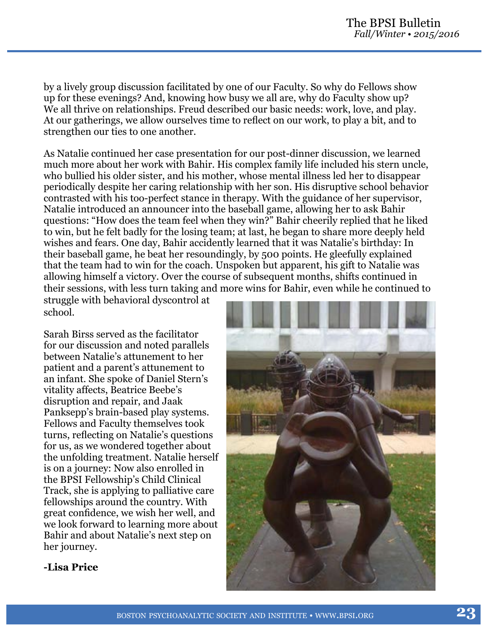by a lively group discussion facilitated by one of our Faculty. So why do Fellows show up for these evenings? And, knowing how busy we all are, why do Faculty show up? We all thrive on relationships. Freud described our basic needs: work, love, and play. At our gatherings, we allow ourselves time to reflect on our work, to play a bit, and to strengthen our ties to one another.

As Natalie continued her case presentation for our post-dinner discussion, we learned much more about her work with Bahir. His complex family life included his stern uncle, who bullied his older sister, and his mother, whose mental illness led her to disappear periodically despite her caring relationship with her son. His disruptive school behavior contrasted with his too-perfect stance in therapy. With the guidance of her supervisor, Natalie introduced an announcer into the baseball game, allowing her to ask Bahir questions: "How does the team feel when they win?" Bahir cheerily replied that he liked to win, but he felt badly for the losing team; at last, he began to share more deeply held wishes and fears. One day, Bahir accidently learned that it was Natalie's birthday: In their baseball game, he beat her resoundingly, by 500 points. He gleefully explained that the team had to win for the coach. Unspoken but apparent, his gift to Natalie was allowing himself a victory. Over the course of subsequent months, shifts continued in their sessions, with less turn taking and more wins for Bahir, even while he continued to

struggle with behavioral dyscontrol at school.

Sarah Birss served as the facilitator for our discussion and noted parallels between Natalie's attunement to her patient and a parent's attunement to an infant. She spoke of Daniel Stern's vitality affects, Beatrice Beebe's disruption and repair, and Jaak Panksepp's brain-based play systems. Fellows and Faculty themselves took turns, reflecting on Natalie's questions for us, as we wondered together about the unfolding treatment. Natalie herself is on a journey: Now also enrolled in the BPSI Fellowship's Child Clinical Track, she is applying to palliative care fellowships around the country. With great confidence, we wish her well, and we look forward to learning more about Bahir and about Natalie's next step on her journey.



#### **-Lisa Price**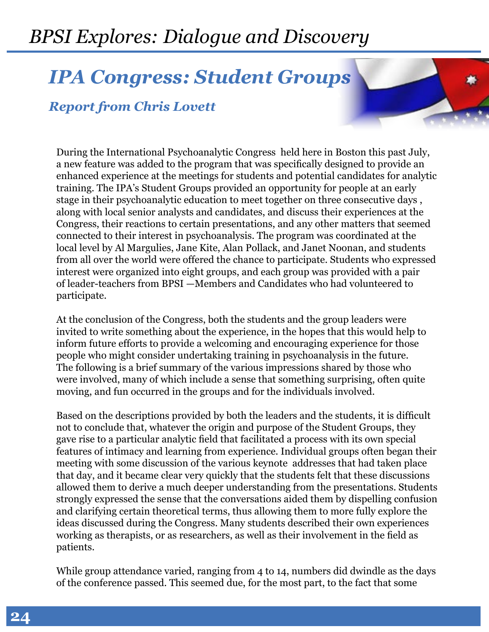# *BPSI Explores: Dialogue and Discovery*

# *IPA Congress: Student Groups*

### *Report from Chris Lovett*

During the International Psychoanalytic Congress held here in Boston this past July, a new feature was added to the program that was specifically designed to provide an enhanced experience at the meetings for students and potential candidates for analytic training. The IPA's Student Groups provided an opportunity for people at an early stage in their psychoanalytic education to meet together on three consecutive days , along with local senior analysts and candidates, and discuss their experiences at the Congress, their reactions to certain presentations, and any other matters that seemed connected to their interest in psychoanalysis. The program was coordinated at the local level by Al Margulies, Jane Kite, Alan Pollack, and Janet Noonan, and students from all over the world were offered the chance to participate. Students who expressed interest were organized into eight groups, and each group was provided with a pair of leader-teachers from BPSI —Members and Candidates who had volunteered to participate.

At the conclusion of the Congress, both the students and the group leaders were invited to write something about the experience, in the hopes that this would help to inform future efforts to provide a welcoming and encouraging experience for those people who might consider undertaking training in psychoanalysis in the future. The following is a brief summary of the various impressions shared by those who were involved, many of which include a sense that something surprising, often quite moving, and fun occurred in the groups and for the individuals involved.

Based on the descriptions provided by both the leaders and the students, it is difficult not to conclude that, whatever the origin and purpose of the Student Groups, they gave rise to a particular analytic field that facilitated a process with its own special features of intimacy and learning from experience. Individual groups often began their meeting with some discussion of the various keynote addresses that had taken place that day, and it became clear very quickly that the students felt that these discussions allowed them to derive a much deeper understanding from the presentations. Students strongly expressed the sense that the conversations aided them by dispelling confusion and clarifying certain theoretical terms, thus allowing them to more fully explore the ideas discussed during the Congress. Many students described their own experiences working as therapists, or as researchers, as well as their involvement in the field as patients.

While group attendance varied, ranging from 4 to 14, numbers did dwindle as the days of the conference passed. This seemed due, for the most part, to the fact that some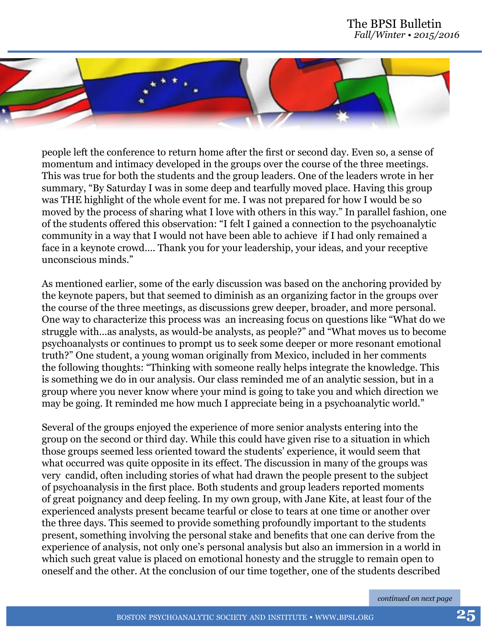#### The BPSI Bulletin *Fall/Winter • 2015/2016*



people left the conference to return home after the first or second day. Even so, a sense of momentum and intimacy developed in the groups over the course of the three meetings. This was true for both the students and the group leaders. One of the leaders wrote in her summary, "By Saturday I was in some deep and tearfully moved place. Having this group was THE highlight of the whole event for me. I was not prepared for how I would be so moved by the process of sharing what I love with others in this way." In parallel fashion, one of the students offered this observation: "I felt I gained a connection to the psychoanalytic community in a way that I would not have been able to achieve if I had only remained a face in a keynote crowd…. Thank you for your leadership, your ideas, and your receptive unconscious minds."

As mentioned earlier, some of the early discussion was based on the anchoring provided by the keynote papers, but that seemed to diminish as an organizing factor in the groups over the course of the three meetings, as discussions grew deeper, broader, and more personal. One way to characterize this process was an increasing focus on questions like "What do we struggle with…as analysts, as would-be analysts, as people?" and "What moves us to become psychoanalysts or continues to prompt us to seek some deeper or more resonant emotional truth?" One student, a young woman originally from Mexico, included in her comments the following thoughts: "Thinking with someone really helps integrate the knowledge. This is something we do in our analysis. Our class reminded me of an analytic session, but in a group where you never know where your mind is going to take you and which direction we may be going. It reminded me how much I appreciate being in a psychoanalytic world."

Several of the groups enjoyed the experience of more senior analysts entering into the group on the second or third day. While this could have given rise to a situation in which those groups seemed less oriented toward the students' experience, it would seem that what occurred was quite opposite in its effect. The discussion in many of the groups was very candid, often including stories of what had drawn the people present to the subject of psychoanalysis in the first place. Both students and group leaders reported moments of great poignancy and deep feeling. In my own group, with Jane Kite, at least four of the experienced analysts present became tearful or close to tears at one time or another over the three days. This seemed to provide something profoundly important to the students present, something involving the personal stake and benefits that one can derive from the experience of analysis, not only one's personal analysis but also an immersion in a world in which such great value is placed on emotional honesty and the struggle to remain open to oneself and the other. At the conclusion of our time together, one of the students described

*continued on next page*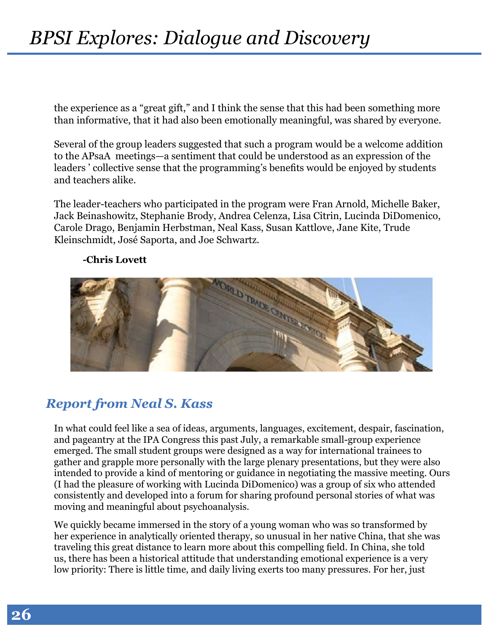# *BPSI Explores: Dialogue and Discovery*

the experience as a "great gift," and I think the sense that this had been something more than informative, that it had also been emotionally meaningful, was shared by everyone.

Several of the group leaders suggested that such a program would be a welcome addition to the APsaA meetings—a sentiment that could be understood as an expression of the leaders ' collective sense that the programming's benefits would be enjoyed by students and teachers alike.

The leader-teachers who participated in the program were Fran Arnold, Michelle Baker, Jack Beinashowitz, Stephanie Brody, Andrea Celenza, Lisa Citrin, Lucinda DiDomenico, Carole Drago, Benjamin Herbstman, Neal Kass, Susan Kattlove, Jane Kite, Trude Kleinschmidt, José Saporta, and Joe Schwartz.



#### **-Chris Lovett**

### *Report from Neal S. Kass*

In what could feel like a sea of ideas, arguments, languages, excitement, despair, fascination, and pageantry at the IPA Congress this past July, a remarkable small-group experience emerged. The small student groups were designed as a way for international trainees to gather and grapple more personally with the large plenary presentations, but they were also intended to provide a kind of mentoring or guidance in negotiating the massive meeting. Ours (I had the pleasure of working with Lucinda DiDomenico) was a group of six who attended consistently and developed into a forum for sharing profound personal stories of what was moving and meaningful about psychoanalysis.

We quickly became immersed in the story of a young woman who was so transformed by her experience in analytically oriented therapy, so unusual in her native China, that she was traveling this great distance to learn more about this compelling field. In China, she told us, there has been a historical attitude that understanding emotional experience is a very low priority: There is little time, and daily living exerts too many pressures. For her, just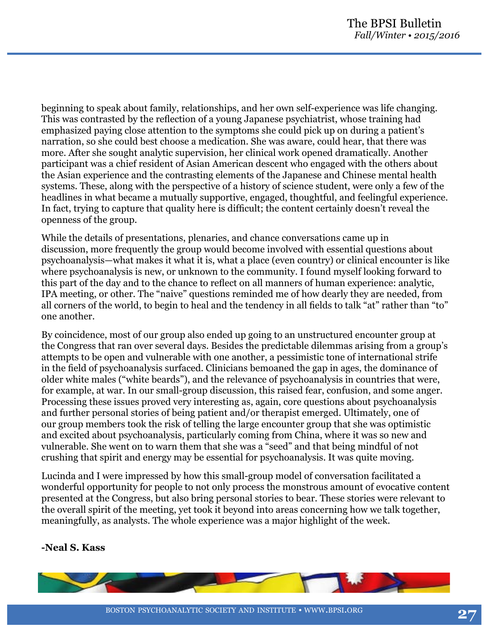beginning to speak about family, relationships, and her own self-experience was life changing. This was contrasted by the reflection of a young Japanese psychiatrist, whose training had emphasized paying close attention to the symptoms she could pick up on during a patient's narration, so she could best choose a medication. She was aware, could hear, that there was more. After she sought analytic supervision, her clinical work opened dramatically. Another participant was a chief resident of Asian American descent who engaged with the others about the Asian experience and the contrasting elements of the Japanese and Chinese mental health systems. These, along with the perspective of a history of science student, were only a few of the headlines in what became a mutually supportive, engaged, thoughtful, and feelingful experience. In fact, trying to capture that quality here is difficult; the content certainly doesn't reveal the openness of the group.

While the details of presentations, plenaries, and chance conversations came up in discussion, more frequently the group would become involved with essential questions about psychoanalysis—what makes it what it is, what a place (even country) or clinical encounter is like where psychoanalysis is new, or unknown to the community. I found myself looking forward to this part of the day and to the chance to reflect on all manners of human experience: analytic, IPA meeting, or other. The "naive" questions reminded me of how dearly they are needed, from all corners of the world, to begin to heal and the tendency in all fields to talk "at" rather than "to" one another.

By coincidence, most of our group also ended up going to an unstructured encounter group at the Congress that ran over several days. Besides the predictable dilemmas arising from a group's attempts to be open and vulnerable with one another, a pessimistic tone of international strife in the field of psychoanalysis surfaced. Clinicians bemoaned the gap in ages, the dominance of older white males ("white beards"), and the relevance of psychoanalysis in countries that were, for example, at war. In our small-group discussion, this raised fear, confusion, and some anger. Processing these issues proved very interesting as, again, core questions about psychoanalysis and further personal stories of being patient and/or therapist emerged. Ultimately, one of our group members took the risk of telling the large encounter group that she was optimistic and excited about psychoanalysis, particularly coming from China, where it was so new and vulnerable. She went on to warn them that she was a "seed" and that being mindful of not crushing that spirit and energy may be essential for psychoanalysis. It was quite moving.

Lucinda and I were impressed by how this small-group model of conversation facilitated a wonderful opportunity for people to not only process the monstrous amount of evocative content presented at the Congress, but also bring personal stories to bear. These stories were relevant to the overall spirit of the meeting, yet took it beyond into areas concerning how we talk together, meaningfully, as analysts. The whole experience was a major highlight of the week.

#### **-Neal S. Kass**